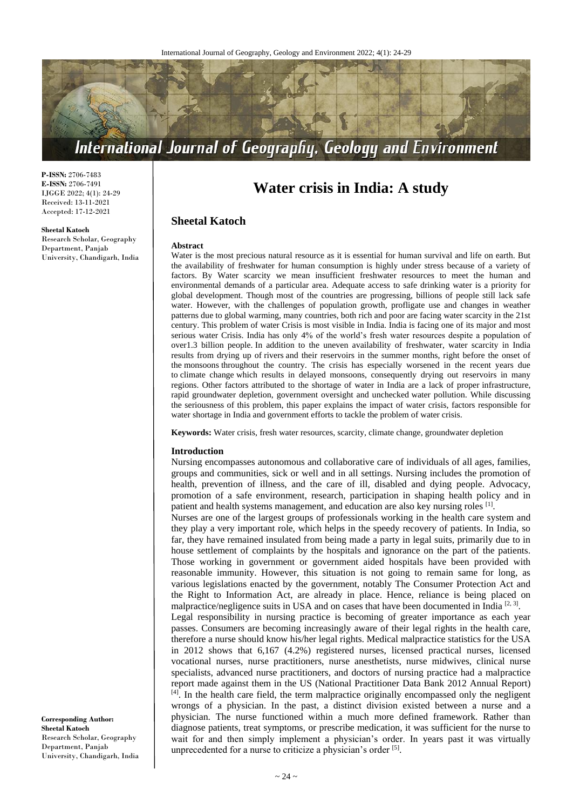

**P-ISSN:** 2706-7483 **E-ISSN:** 2706-7491 IJGGE 2022; 4(1): 24-29 Received: 13-11-2021 Accepted: 17-12-2021

#### **Sheetal Katoch**

Research Scholar, Geography Department, Panjab University, Chandigarh, India

# **Water crisis in India: A study**

# **Sheetal Katoch**

#### **Abstract**

Water is the most precious natural resource as it is essential for human survival and life on earth. But the availability of freshwater for human consumption is highly under stress because of a variety of factors. By Water scarcity we mean insufficient freshwater resources to meet the human and environmental demands of a particular area. Adequate access to safe drinking water is a priority for global development. Though most of the countries are progressing, billions of people still lack safe water. However, with the challenges of population growth, profligate use and changes in weather patterns due to global warming, many countries, both rich and poor are facing water scarcity in the 21st century. This problem of water Crisis is most visible in India. India is facing one of its major and most serious water Crisis. India has only 4% of the world's fresh water resources despite a population of over1.3 billion people. In addition to the uneven availability of freshwater, water scarcity in India results from drying up of rivers and their reservoirs in the summer months, right before the onset of the monsoons throughout the country. The crisis has especially worsened in the recent years due to climate change which results in delayed monsoons, consequently drying out reservoirs in many regions. Other factors attributed to the shortage of water in India are a lack of proper infrastructure, rapid groundwater depletion, government oversight and unchecked water pollution. While discussing the seriousness of this problem, this paper explains the impact of water crisis, factors responsible for water shortage in India and government efforts to tackle the problem of water crisis.

**Keywords:** Water crisis, fresh water resources, scarcity, climate change, groundwater depletion

#### **Introduction**

Nursing encompasses autonomous and collaborative care of individuals of all ages, families, groups and communities, sick or well and in all settings. Nursing includes the promotion of health, prevention of illness, and the care of ill, disabled and dying people. Advocacy, promotion of a safe environment, research, participation in shaping health policy and in patient and health systems management, and education are also key nursing roles [1].

Nurses are one of the largest groups of professionals working in the health care system and they play a very important role, which helps in the speedy recovery of patients. In India, so far, they have remained insulated from being made a party in legal suits, primarily due to in house settlement of complaints by the hospitals and ignorance on the part of the patients. Those working in government or government aided hospitals have been provided with reasonable immunity. However, this situation is not going to remain same for long, as various legislations enacted by the government, notably The Consumer Protection Act and the Right to Information Act, are already in place. Hence, reliance is being placed on malpractice/negligence suits in USA and on cases that have been documented in India<sup>[2, 3]</sup>.

Legal responsibility in nursing practice is becoming of greater importance as each year passes. Consumers are becoming increasingly aware of their legal rights in the health care, therefore a nurse should know his/her legal rights. Medical malpractice statistics for the USA in 2012 shows that 6,167 (4.2%) registered nurses, licensed practical nurses, licensed vocational nurses, nurse practitioners, nurse anesthetists, nurse midwives, clinical nurse specialists, advanced nurse practitioners, and doctors of nursing practice had a malpractice report made against them in the US (National Practitioner Data Bank 2012 Annual Report) [4]. In the health care field, the term malpractice originally encompassed only the negligent wrongs of a physician. In the past, a distinct division existed between a nurse and a physician. The nurse functioned within a much more defined framework. Rather than diagnose patients, treat symptoms, or prescribe medication, it was sufficient for the nurse to wait for and then simply implement a physician's order. In years past it was virtually unprecedented for a nurse to criticize a physician's order [5].

**Corresponding Author: Sheetal Katoch** Research Scholar, Geography Department, Panjab University, Chandigarh, India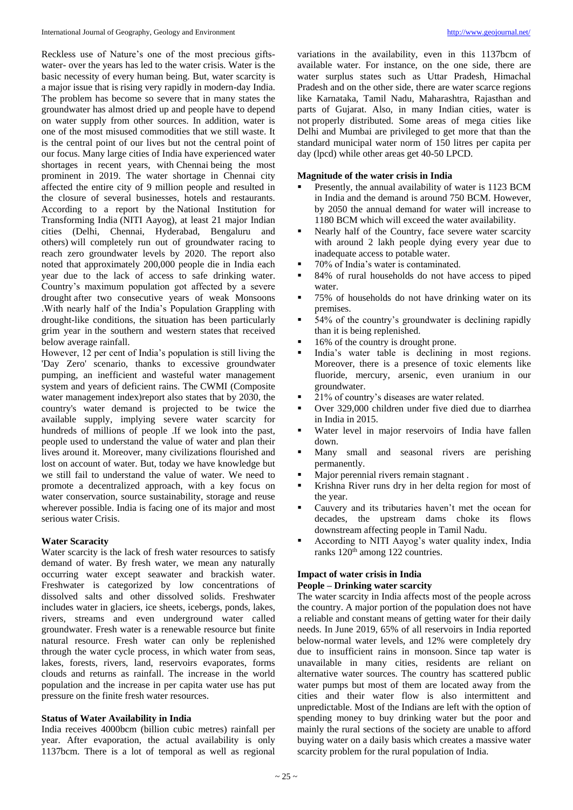Reckless use of Nature's one of the most precious giftswater- over the years has led to the water crisis. Water is the basic necessity of every human being. But, water scarcity is a major issue that is rising very rapidly in modern-day India. The problem has become so severe that in many states the groundwater has almost dried up and people have to depend on water supply from other sources. In addition, water is one of the most misused commodities that we still waste. It is the central point of our lives but not the central point of our focus. Many large cities of India have experienced water shortages in recent years, with Chennai being the most prominent in 2019. The water shortage in Chennai city affected the entire city of 9 million people and resulted in the closure of several businesses, hotels and restaurants. According to a report by the National Institution for Transforming India (NITI Aayog), at least 21 major Indian cities (Delhi, Chennai, Hyderabad, Bengaluru and others) will completely run out of groundwater racing to reach zero groundwater levels by 2020. The report also noted that approximately 200,000 people die in India each year due to the lack of access to safe drinking water. Country's maximum population got affected by a severe drought after two consecutive years of weak Monsoons .With nearly half of the India's Population Grappling with drought-like conditions, the situation has been particularly grim year in the southern and western states that received below average rainfall.

However, 12 per cent of India's population is still living the 'Day Zero' scenario, thanks to excessive groundwater pumping, an inefficient and wasteful water management system and years of deficient rains. The CWMI (Composite water management index)report also states that by 2030, the country's water demand is projected to be twice the available supply, implying severe water scarcity for hundreds of millions of people .If we look into the past, people used to understand the value of water and plan their lives around it. Moreover, many civilizations flourished and lost on account of water. But, today we have knowledge but we still fail to understand the value of water. We need to promote a decentralized approach, with a key focus on water conservation, source sustainability, storage and reuse wherever possible. India is facing one of its major and most serious water Crisis.

# **Water Scaracity**

Water scarcity is the lack of fresh water resources to satisfy demand of water. By fresh water, we mean any naturally occurring water except seawater and brackish water. Freshwater is categorized by low concentrations of dissolved salts and other dissolved solids. Freshwater includes water in glaciers, ice sheets, icebergs, ponds, lakes, rivers, streams and even underground water called groundwater. Fresh water is a renewable resource but finite natural resource. Fresh water can only be replenished through the water cycle process, in which water from seas, lakes, forests, rivers, land, reservoirs evaporates, forms clouds and returns as rainfall. The increase in the world population and the increase in per capita water use has put pressure on the finite fresh water resources.

## **Status of Water Availability in India**

India receives 4000bcm (billion cubic metres) rainfall per year. After evaporation, the actual availability is only 1137bcm. There is a lot of temporal as well as regional

variations in the availability, even in this 1137bcm of available water. For instance, on the one side, there are water surplus states such as Uttar Pradesh, Himachal Pradesh and on the other side, there are water scarce regions like Karnataka, Tamil Nadu, Maharashtra, Rajasthan and parts of Gujarat. Also, in many Indian cities, water is not properly distributed. Some areas of mega cities like Delhi and Mumbai are privileged to get more that than the standard municipal water norm of 150 litres per capita per day (lpcd) while other areas get 40-50 LPCD.

# **Magnitude of the water crisis in India**

- Presently, the annual availability of water is 1123 BCM in India and the demand is around 750 BCM. However, by 2050 the annual demand for water will increase to 1180 BCM which will exceed the water availability.
- Nearly half of the Country, face severe water scarcity with around 2 lakh people dying every year due to inadequate access to potable water.
- 70% of India's water is contaminated.
- 84% of rural households do not have access to piped water.
- 75% of households do not have drinking water on its premises.
- 54% of the country's groundwater is declining rapidly than it is being replenished.
- 16% of the country is drought prone.
- India's water table is declining in most regions. Moreover, there is a presence of toxic elements like fluoride, mercury, arsenic, even uranium in our groundwater.
- 21% of country's diseases are water related.
- Over 329,000 children under five died due to diarrhea in India in 2015.
- Water level in major reservoirs of India have fallen down.
- Many small and seasonal rivers are perishing permanently.
- Major perennial rivers remain stagnant .
- Krishna River runs dry in her delta region for most of the year.
- Cauvery and its tributaries haven't met the ocean for decades, the upstream dams choke its flows downstream affecting people in Tamil Nadu.
- According to NITI Aayog's water quality index, India ranks 120<sup>th</sup> among 122 countries.

# **Impact of water crisis in India**

# **People – Drinking water scarcity**

The water scarcity in India affects most of the people across the country. A major portion of the population does not have a reliable and constant means of getting water for their daily needs. In June 2019, 65% of all reservoirs in India reported below-normal water levels, and 12% were completely dry due to insufficient rains in monsoon. Since tap water is unavailable in many cities, residents are reliant on alternative water sources. The country has scattered public water pumps but most of them are located away from the cities and their water flow is also intermittent and unpredictable. Most of the Indians are left with the option of spending money to buy drinking water but the poor and mainly the rural sections of the society are unable to afford buying water on a daily basis which creates a massive water scarcity problem for the rural population of India.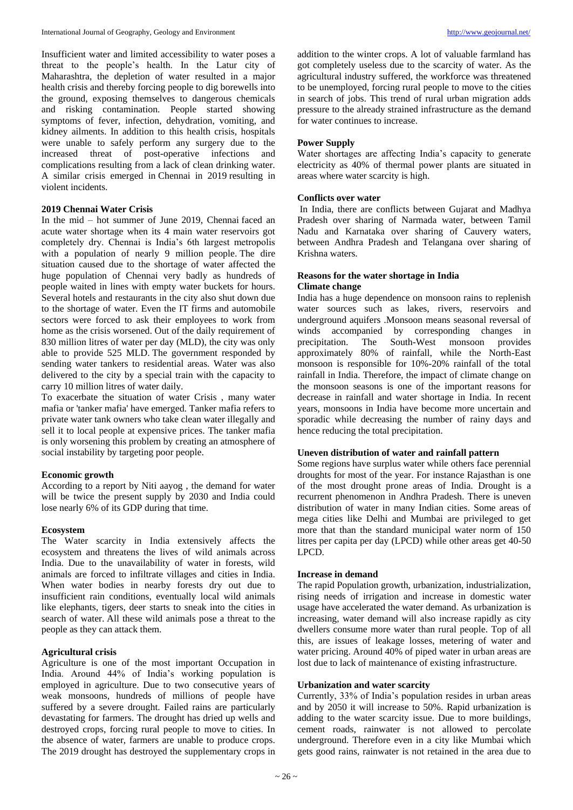Insufficient water and limited accessibility to water poses a threat to the people's health. In the Latur city of Maharashtra, the depletion of water resulted in a major health crisis and thereby forcing people to dig borewells into the ground, exposing themselves to dangerous chemicals and risking contamination. People started showing symptoms of fever, infection, dehydration, vomiting, and kidney ailments. In addition to this health crisis, hospitals were unable to safely perform any surgery due to the increased threat of post-operative infections and complications resulting from a lack of clean drinking water. A similar crisis emerged in Chennai in 2019 resulting in violent incidents.

# **2019 Chennai Water Crisis**

In the mid – hot summer of June 2019, Chennai faced an acute water shortage when its 4 main water reservoirs got completely dry. Chennai is India's 6th largest metropolis with a population of nearly 9 million people. The dire situation caused due to the shortage of water affected the huge population of Chennai very badly as hundreds of people waited in lines with empty water buckets for hours. Several hotels and restaurants in the city also shut down due to the shortage of water. Even the IT firms and automobile sectors were forced to ask their employees to work from home as the crisis worsened. Out of the daily requirement of 830 million litres of water per day (MLD), the city was only able to provide 525 MLD. The government responded by sending water tankers to residential areas. Water was also delivered to the city by a special train with the capacity to carry 10 million litres of water daily.

To exacerbate the situation of water Crisis , many water mafia or 'tanker mafia' have emerged. Tanker mafia refers to private water tank owners who take clean water illegally and sell it to local people at expensive prices. The tanker mafia is only worsening this problem by creating an atmosphere of social instability by targeting poor people.

#### **Economic growth**

According to a report by Niti aayog , the demand for water will be twice the present supply by 2030 and India could lose nearly 6% of its GDP during that time.

#### **Ecosystem**

The Water scarcity in India extensively affects the ecosystem and threatens the lives of wild animals across India. Due to the unavailability of water in forests, wild animals are forced to infiltrate villages and cities in India. When water bodies in nearby forests dry out due to insufficient rain conditions, eventually local wild animals like elephants, tigers, deer starts to sneak into the cities in search of water. All these wild animals pose a threat to the people as they can attack them.

# **Agricultural crisis**

Agriculture is one of the most important Occupation in India. Around 44% of India's working population is employed in agriculture. Due to two consecutive years of weak monsoons, hundreds of millions of people have suffered by a severe drought. Failed rains are particularly devastating for farmers. The drought has dried up wells and destroyed crops, forcing rural people to move to cities. In the absence of water, farmers are unable to produce crops. The 2019 drought has destroyed the supplementary crops in

addition to the winter crops. A lot of valuable farmland has got completely useless due to the scarcity of water. As the agricultural industry suffered, the workforce was threatened to be unemployed, forcing rural people to move to the cities in search of jobs. This trend of rural urban migration adds pressure to the already strained infrastructure as the demand for water continues to increase.

## **Power Supply**

Water shortages are affecting India's capacity to generate electricity as 40% of thermal power plants are situated in areas where water scarcity is high.

## **Conflicts over water**

In India, there are conflicts between Gujarat and Madhya Pradesh over sharing of Narmada water, between Tamil Nadu and Karnataka over sharing of Cauvery waters, between Andhra Pradesh and Telangana over sharing of Krishna waters.

# **Reasons for the water shortage in India Climate change**

India has a huge dependence on monsoon rains to replenish water sources such as lakes, rivers, reservoirs and underground aquifers .Monsoon means seasonal reversal of winds accompanied by corresponding changes in precipitation. The South-West monsoon provides approximately 80% of rainfall, while the North-East monsoon is responsible for 10%-20% rainfall of the total rainfall in India. Therefore, the impact of climate change on the monsoon seasons is one of the important reasons for decrease in rainfall and water shortage in India. In recent years, monsoons in India have become more uncertain and sporadic while decreasing the number of rainy days and hence reducing the total precipitation.

# **Uneven distribution of water and rainfall pattern**

Some regions have surplus water while others face perennial droughts for most of the year. For instance Rajasthan is one of the most drought prone areas of India. Drought is a recurrent phenomenon in Andhra Pradesh. There is uneven distribution of water in many Indian cities. Some areas of mega cities like Delhi and Mumbai are privileged to get more that than the standard municipal water norm of 150 litres per capita per day (LPCD) while other areas get 40-50 LPCD.

# **Increase in demand**

The rapid Population growth, urbanization, industrialization, rising needs of irrigation and increase in domestic water usage have accelerated the water demand. As urbanization is increasing, water demand will also increase rapidly as city dwellers consume more water than rural people. Top of all this, are issues of leakage losses, metering of water and water pricing. Around 40% of piped water in urban areas are lost due to lack of maintenance of existing infrastructure.

# **Urbanization and water scarcity**

Currently, 33% of India's population resides in urban areas and by 2050 it will increase to 50%. Rapid urbanization is adding to the water scarcity issue. Due to more buildings, cement roads, rainwater is not allowed to percolate underground. Therefore even in a city like Mumbai which gets good rains, rainwater is not retained in the area due to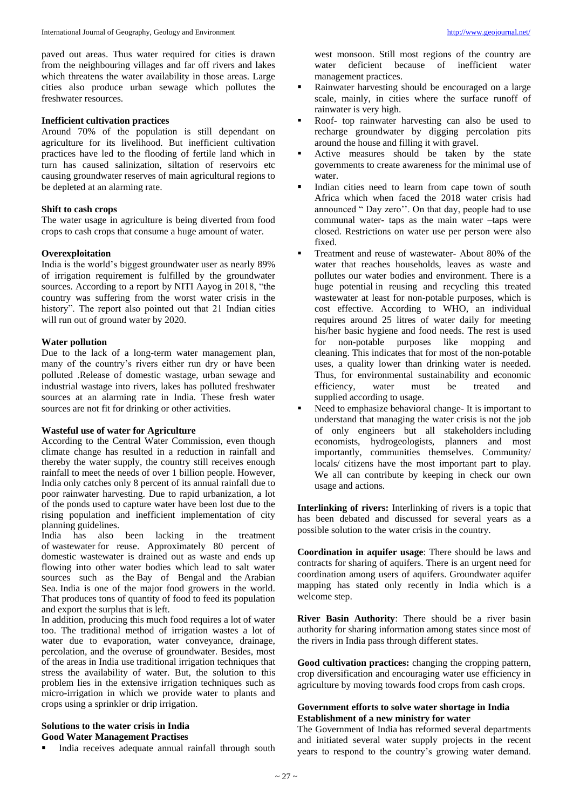paved out areas. Thus water required for cities is drawn from the neighbouring villages and far off rivers and lakes which threatens the water availability in those areas. Large cities also produce urban sewage which pollutes the freshwater resources.

## **Inefficient cultivation practices**

Around 70% of the population is still dependant on agriculture for its livelihood. But inefficient cultivation practices have led to the flooding of fertile land which in turn has caused salinization, siltation of reservoirs etc causing groundwater reserves of main agricultural regions to be depleted at an alarming rate.

# **Shift to cash crops**

The water usage in agriculture is being diverted from food crops to cash crops that consume a huge amount of water.

# **Overexploitation**

India is the world's biggest groundwater user as nearly 89% of irrigation requirement is fulfilled by the groundwater sources. According to a report by NITI Aayog in 2018, "the country was suffering from the worst water crisis in the history". The report also pointed out that 21 Indian cities will run out of ground water by 2020.

# **Water pollution**

Due to the lack of a long-term water management plan, many of the country's rivers either run dry or have been polluted .Release of domestic wastage, urban sewage and industrial wastage into rivers, lakes has polluted freshwater sources at an alarming rate in India. These fresh water sources are not fit for drinking or other activities.

# **Wasteful use of water for Agriculture**

According to the Central Water Commission, even though climate change has resulted in a reduction in rainfall and thereby the water supply, the country still receives enough rainfall to meet the needs of over 1 billion people. However, India only catches only 8 percent of its annual rainfall due to poor rainwater harvesting. Due to rapid urbanization, a lot of the ponds used to capture water have been lost due to the rising population and inefficient implementation of city planning guidelines.

India has also been lacking in the treatment of wastewater for reuse. Approximately 80 percent of domestic wastewater is drained out as waste and ends up flowing into other water bodies which lead to salt water sources such as the Bay of Bengal and the Arabian Sea. India is one of the major food growers in the world. That produces tons of quantity of food to feed its population and export the surplus that is left.

In addition, producing this much food requires a lot of water too. The traditional method of irrigation wastes a lot of water due to evaporation, water conveyance, drainage, percolation, and the overuse of groundwater. Besides, most of the areas in India use traditional irrigation techniques that stress the availability of water. But, the solution to this problem lies in the extensive irrigation techniques such as micro-irrigation in which we provide water to plants and crops using a sprinkler or drip irrigation.

# **Solutions to the water crisis in India Good Water Management Practises**

India receives adequate annual rainfall through south

west monsoon. Still most regions of the country are water deficient because of inefficient water management practices.

- Rainwater harvesting should be encouraged on a large scale, mainly, in cities where the surface runoff of rainwater is very high.
- Roof- top rainwater harvesting can also be used to recharge groundwater by digging percolation pits around the house and filling it with gravel.
- Active measures should be taken by the state governments to create awareness for the minimal use of water.
- Indian cities need to learn from cape town of south Africa which when faced the 2018 water crisis had announced " Day zero''. On that day, people had to use communal water- taps as the main water –taps were closed. Restrictions on water use per person were also fixed.
- Treatment and reuse of wastewater- About 80% of the water that reaches households, leaves as waste and pollutes our water bodies and environment. There is a huge potential in reusing and recycling this treated wastewater at least for non-potable purposes, which is cost effective. According to WHO, an individual requires around 25 litres of water daily for meeting his/her basic hygiene and food needs. The rest is used for non-potable purposes like mopping and cleaning. This indicates that for most of the non-potable uses, a quality lower than drinking water is needed. Thus, for environmental sustainability and economic efficiency, water must be treated and supplied according to usage.
- Need to emphasize behavioral change- It is important to understand that managing the water crisis is not the job of only engineers but all stakeholders including economists, hydrogeologists, planners and most importantly, communities themselves. Community/ locals/ citizens have the most important part to play. We all can contribute by keeping in check our own usage and actions.

**Interlinking of rivers:** Interlinking of rivers is a topic that has been debated and discussed for several years as a possible solution to the water crisis in the country.

**Coordination in aquifer usage**: There should be laws and contracts for sharing of aquifers. There is an urgent need for coordination among users of aquifers. Groundwater aquifer mapping has stated only recently in India which is a welcome step.

**River Basin Authority**: There should be a river basin authority for sharing information among states since most of the rivers in India pass through different states.

**Good cultivation practices:** changing the cropping pattern, crop diversification and encouraging water use efficiency in agriculture by moving towards food crops from cash crops.

# **Government efforts to solve water shortage in India Establishment of a new ministry for water**

The Government of India has reformed several departments and initiated several water supply projects in the recent years to respond to the country's growing water demand.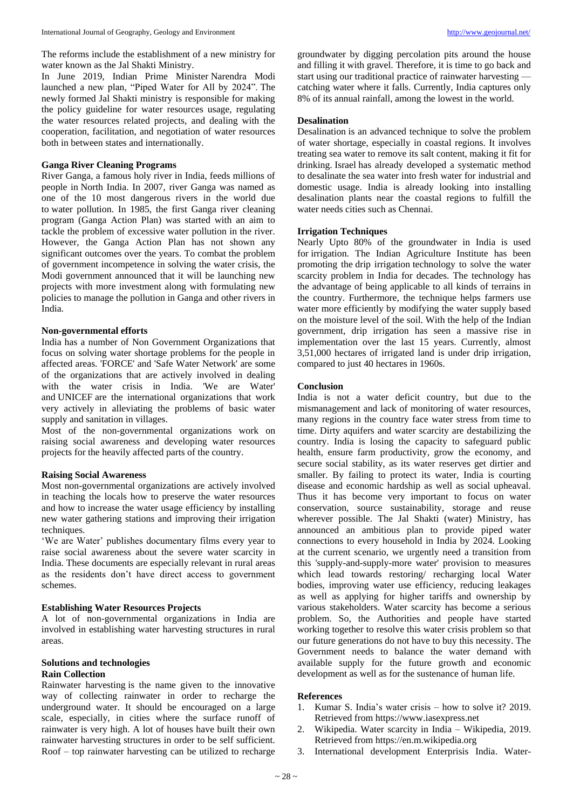The reforms include the establishment of a new ministry for water known as the Jal Shakti Ministry.

In June 2019, Indian Prime Minister Narendra Modi launched a new plan, "Piped Water for All by 2024". The newly formed Jal Shakti ministry is responsible for making the policy guideline for water resources usage, regulating the water resources related projects, and dealing with the cooperation, facilitation, and negotiation of water resources both in between states and internationally.

# **Ganga River Cleaning Programs**

River Ganga, a famous holy river in India, feeds millions of people in North India. In 2007, river Ganga was named as one of the 10 most dangerous rivers in the world due to water pollution. In 1985, the first Ganga river cleaning program (Ganga Action Plan) was started with an aim to tackle the problem of excessive water pollution in the river. However, the Ganga Action Plan has not shown any significant outcomes over the years. To combat the problem of government incompetence in solving the water crisis, the Modi government announced that it will be launching new projects with more investment along with formulating new policies to manage the pollution in Ganga and other rivers in India.

# **Non-governmental efforts**

India has a number of Non Government Organizations that focus on solving water shortage problems for the people in affected areas. 'FORCE' and 'Safe Water Network' are some of the organizations that are actively involved in dealing with the water crisis in India. 'We are Water' and UNICEF are the international organizations that work very actively in alleviating the problems of basic water supply and sanitation in villages.

Most of the non-governmental organizations work on raising social awareness and developing water resources projects for the heavily affected parts of the country.

#### **Raising Social Awareness**

Most non-governmental organizations are actively involved in teaching the locals how to preserve the water resources and how to increase the water usage efficiency by installing new water gathering stations and improving their irrigation techniques.

'We are Water' publishes documentary films every year to raise social awareness about the severe water scarcity in India. These documents are especially relevant in rural areas as the residents don't have direct access to government schemes.

# **Establishing Water Resources Projects**

A lot of non-governmental organizations in India are involved in establishing water harvesting structures in rural areas.

# **Solutions and technologies**

# **Rain Collection**

Rainwater harvesting is the name given to the innovative way of collecting rainwater in order to recharge the underground water. It should be encouraged on a large scale, especially, in cities where the surface runoff of rainwater is very high. A lot of houses have built their own rainwater harvesting structures in order to be self sufficient. Roof – top rainwater harvesting can be utilized to recharge

groundwater by digging percolation pits around the house and filling it with gravel. Therefore, it is time to go back and start using our traditional practice of rainwater harvesting catching water where it falls. Currently, India captures only 8% of its annual rainfall, among the lowest in the world.

#### **Desalination**

Desalination is an advanced technique to solve the problem of water shortage, especially in coastal regions. It involves treating sea water to remove its salt content, making it fit for drinking. Israel has already developed a systematic method to desalinate the sea water into fresh water for industrial and domestic usage. India is already looking into installing desalination plants near the coastal regions to fulfill the water needs cities such as Chennai.

# **Irrigation Techniques**

Nearly Upto 80% of the groundwater in India is used for irrigation. The Indian Agriculture Institute has been promoting the drip irrigation technology to solve the water scarcity problem in India for decades. The technology has the advantage of being applicable to all kinds of terrains in the country. Furthermore, the technique helps farmers use water more efficiently by modifying the water supply based on the moisture level of the soil. With the help of the Indian government, drip irrigation has seen a massive rise in implementation over the last 15 years. Currently, almost 3,51,000 hectares of irrigated land is under drip irrigation, compared to just 40 hectares in 1960s.

## **Conclusion**

India is not a water deficit country, but due to the mismanagement and lack of monitoring of water resources, many regions in the country face water stress from time to time. Dirty aquifers and water scarcity are destabilizing the country. India is losing the capacity to safeguard public health, ensure farm productivity, grow the economy, and secure social stability, as its water reserves get dirtier and smaller. By failing to protect its water, India is courting disease and economic hardship as well as social upheaval. Thus it has become very important to focus on water conservation, source sustainability, storage and reuse wherever possible. The Jal Shakti (water) Ministry, has announced an ambitious plan to provide piped water connections to every household in India by 2024. Looking at the current scenario, we urgently need a transition from this 'supply-and-supply-more water' provision to measures which lead towards restoring/ recharging local Water bodies, improving water use efficiency, reducing leakages as well as applying for higher tariffs and ownership by various stakeholders. Water scarcity has become a serious problem. So, the Authorities and people have started working together to resolve this water crisis problem so that our future generations do not have to buy this necessity. The Government needs to balance the water demand with available supply for the future growth and economic development as well as for the sustenance of human life.

#### **References**

- 1. Kumar S. India's water crisis how to solve it? 2019. Retrieved from https://www.iasexpress.net
- 2. Wikipedia. Water scarcity in India Wikipedia, 2019. Retrieved from https://en.m.wikipedia.org
- 3. International development Enterprisis India. Water-